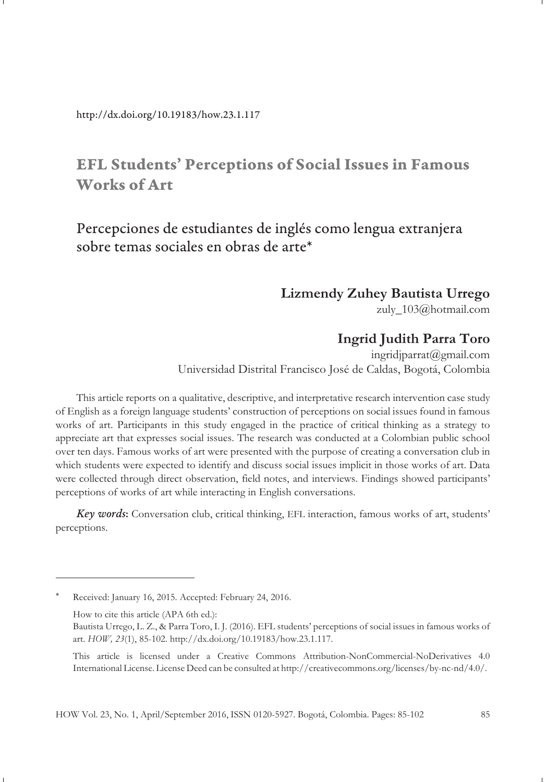http://dx.doi.org/10.19183/how.23.1.117

# **EFL Students' Perceptions of Social Issues in Famous Works of Art**

# Percepciones de estudiantes de inglés como lengua extranjera sobre temas sociales en obras de arte\*

### **Lizmendy Zuhey Bautista Urrego**

zuly\_103@hotmail.com

### **Ingrid Judith Parra Toro**

ingridjparrat@gmail.com Universidad Distrital Francisco José de Caldas, Bogotá, Colombia

This article reports on a qualitative, descriptive, and interpretative research intervention case study of English as a foreign language students' construction of perceptions on social issues found in famous works of art. Participants in this study engaged in the practice of critical thinking as a strategy to appreciate art that expresses social issues. The research was conducted at a Colombian public school over ten days. Famous works of art were presented with the purpose of creating a conversation club in which students were expected to identify and discuss social issues implicit in those works of art. Data were collected through direct observation, field notes, and interviews. Findings showed participants' perceptions of works of art while interacting in English conversations.

*Key words***:** Conversation club, critical thinking, EFL interaction, famous works of art, students' perceptions.

Received: January 16, 2015. Accepted: February 24, 2016.

How to cite this article (APA 6th ed.):

Bautista Urrego, L. Z., & Parra Toro, I. J. (2016). EFL students' perceptions of social issues in famous works of art. *HOW, 23*(1), 85-102. http://dx.doi.org/10.19183/how.23.1.117.

This article is licensed under a Creative Commons Attribution-NonCommercial-NoDerivatives 4.0 International License. License Deed can be consulted at http://creativecommons.org/licenses/by-nc-nd/4.0/.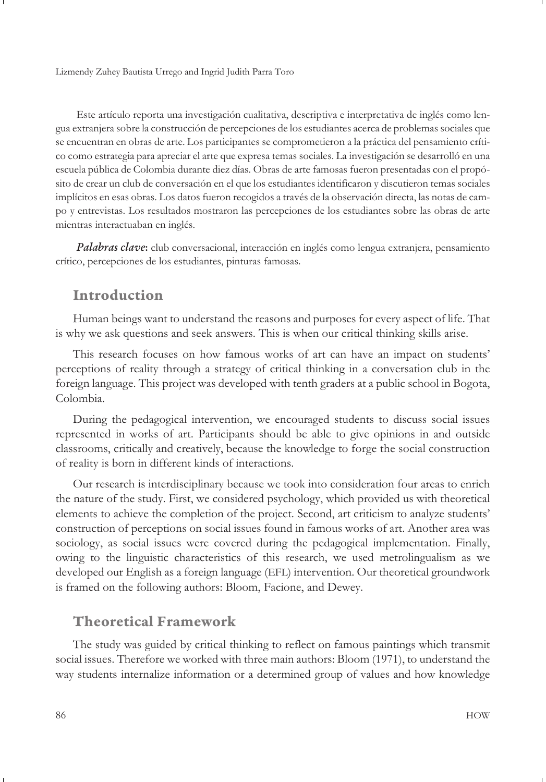Este artículo reporta una investigación cualitativa, descriptiva e interpretativa de inglés como lengua extranjera sobre la construcción de percepciones de los estudiantes acerca de problemas sociales que se encuentran en obras de arte. Los participantes se comprometieron a la práctica del pensamiento crítico como estrategia para apreciar el arte que expresa temas sociales. La investigación se desarrolló en una escuela pública de Colombia durante diez días. Obras de arte famosas fueron presentadas con el propósito de crear un club de conversación en el que los estudiantes identificaron y discutieron temas sociales implícitos en esas obras. Los datos fueron recogidos a través de la observación directa, las notas de campo y entrevistas. Los resultados mostraron las percepciones de los estudiantes sobre las obras de arte mientras interactuaban en inglés.

*Palabras clave***:** club conversacional, interacción en inglés como lengua extranjera, pensamiento crítico, percepciones de los estudiantes, pinturas famosas.

### **Introduction**

Human beings want to understand the reasons and purposes for every aspect of life. That is why we ask questions and seek answers. This is when our critical thinking skills arise.

This research focuses on how famous works of art can have an impact on students' perceptions of reality through a strategy of critical thinking in a conversation club in the foreign language. This project was developed with tenth graders at a public school in Bogota, Colombia.

During the pedagogical intervention, we encouraged students to discuss social issues represented in works of art. Participants should be able to give opinions in and outside classrooms, critically and creatively, because the knowledge to forge the social construction of reality is born in different kinds of interactions.

Our research is interdisciplinary because we took into consideration four areas to enrich the nature of the study. First, we considered psychology, which provided us with theoretical elements to achieve the completion of the project. Second, art criticism to analyze students' construction of perceptions on social issues found in famous works of art. Another area was sociology, as social issues were covered during the pedagogical implementation. Finally, owing to the linguistic characteristics of this research, we used metrolingualism as we developed our English as a foreign language (EFL) intervention. Our theoretical groundwork is framed on the following authors: Bloom, Facione, and Dewey.

## **Theoretical Framework**

The study was guided by critical thinking to reflect on famous paintings which transmit social issues. Therefore we worked with three main authors: Bloom (1971), to understand the way students internalize information or a determined group of values and how knowledge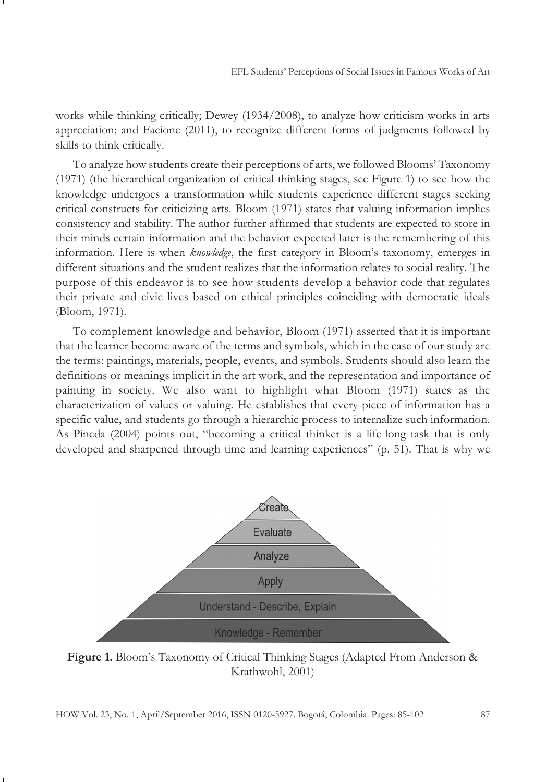works while thinking critically; Dewey (1934/2008), to analyze how criticism works in arts appreciation; and Facione (2011), to recognize different forms of judgments followed by skills to think critically.

To analyze how students create their perceptions of arts, we followed Blooms' Taxonomy (1971) (the hierarchical organization of critical thinking stages, see Figure 1) to see how the knowledge undergoes a transformation while students experience different stages seeking critical constructs for criticizing arts. Bloom (1971) states that valuing information implies consistency and stability. The author further affirmed that students are expected to store in their minds certain information and the behavior expected later is the remembering of this information. Here is when *knowledge*, the first category in Bloom's taxonomy, emerges in different situations and the student realizes that the information relates to social reality. The purpose of this endeavor is to see how students develop a behavior code that regulates their private and civic lives based on ethical principles coinciding with democratic ideals (Bloom, 1971).

To complement knowledge and behavior, Bloom (1971) asserted that it is important that the learner become aware of the terms and symbols, which in the case of our study are the terms: paintings, materials, people, events, and symbols. Students should also learn the definitions or meanings implicit in the art work, and the representation and importance of painting in society. We also want to highlight what Bloom (1971) states as the characterization of values or valuing. He establishes that every piece of information has a specific value, and students go through a hierarchic process to internalize such information. As Pineda (2004) points out, "becoming a critical thinker is a life-long task that is only developed and sharpened through time and learning experiences" (p. 51). That is why we



**Figure 1.** Bloom's Taxonomy of Critical Thinking Stages (Adapted From Anderson & Krathwohl, 2001)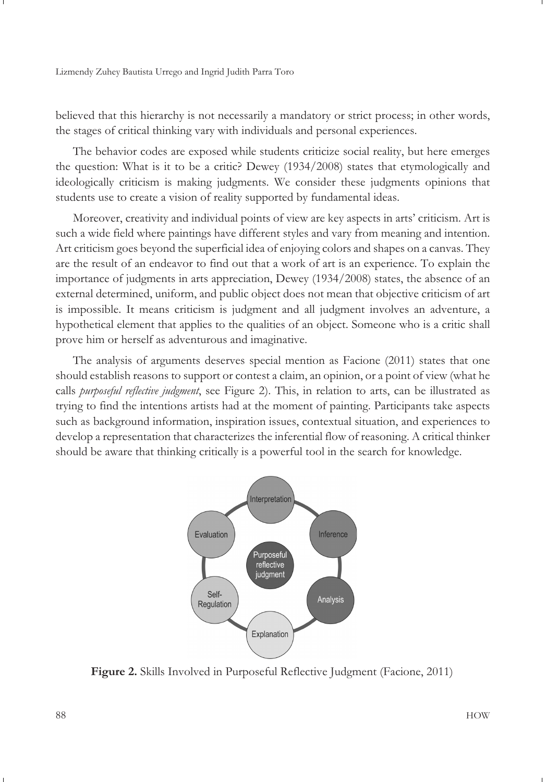believed that this hierarchy is not necessarily a mandatory or strict process; in other words, the stages of critical thinking vary with individuals and personal experiences.

The behavior codes are exposed while students criticize social reality, but here emerges the question: What is it to be a critic? Dewey (1934/2008) states that etymologically and ideologically criticism is making judgments. We consider these judgments opinions that students use to create a vision of reality supported by fundamental ideas.

Moreover, creativity and individual points of view are key aspects in arts' criticism. Art is such a wide field where paintings have different styles and vary from meaning and intention. Art criticism goes beyond the superficial idea of enjoying colors and shapes on a canvas. They are the result of an endeavor to find out that a work of art is an experience. To explain the importance of judgments in arts appreciation, Dewey (1934/2008) states, the absence of an external determined, uniform, and public object does not mean that objective criticism of art is impossible. It means criticism is judgment and all judgment involves an adventure, a hypothetical element that applies to the qualities of an object. Someone who is a critic shall prove him or herself as adventurous and imaginative.

The analysis of arguments deserves special mention as Facione (2011) states that one should establish reasons to support or contest a claim, an opinion, or a point of view (what he calls *purposeful reflective judgment*, see Figure 2). This, in relation to arts, can be illustrated as trying to find the intentions artists had at the moment of painting. Participants take aspects such as background information, inspiration issues, contextual situation, and experiences to develop a representation that characterizes the inferential flow of reasoning. A critical thinker should be aware that thinking critically is a powerful tool in the search for knowledge.



**Figure 2.** Skills Involved in Purposeful Reflective Judgment (Facione, 2011)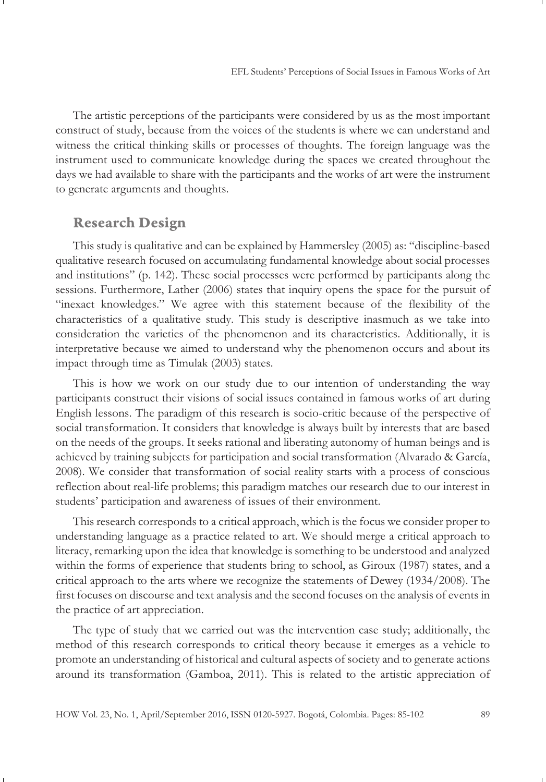The artistic perceptions of the participants were considered by us as the most important construct of study, because from the voices of the students is where we can understand and witness the critical thinking skills or processes of thoughts. The foreign language was the instrument used to communicate knowledge during the spaces we created throughout the days we had available to share with the participants and the works of art were the instrument to generate arguments and thoughts.

### **Research Design**

This study is qualitative and can be explained by Hammersley (2005) as: "discipline-based qualitative research focused on accumulating fundamental knowledge about social processes and institutions" (p. 142). These social processes were performed by participants along the sessions. Furthermore, Lather (2006) states that inquiry opens the space for the pursuit of "inexact knowledges." We agree with this statement because of the flexibility of the characteristics of a qualitative study. This study is descriptive inasmuch as we take into consideration the varieties of the phenomenon and its characteristics. Additionally, it is interpretative because we aimed to understand why the phenomenon occurs and about its impact through time as Timulak (2003) states.

This is how we work on our study due to our intention of understanding the way participants construct their visions of social issues contained in famous works of art during English lessons. The paradigm of this research is socio-critic because of the perspective of social transformation. It considers that knowledge is always built by interests that are based on the needs of the groups. It seeks rational and liberating autonomy of human beings and is achieved by training subjects for participation and social transformation (Alvarado & García, 2008). We consider that transformation of social reality starts with a process of conscious reflection about real-life problems; this paradigm matches our research due to our interest in students' participation and awareness of issues of their environment.

This research corresponds to a critical approach, which is the focus we consider proper to understanding language as a practice related to art. We should merge a critical approach to literacy, remarking upon the idea that knowledge is something to be understood and analyzed within the forms of experience that students bring to school, as Giroux (1987) states, and a critical approach to the arts where we recognize the statements of Dewey (1934/2008). The first focuses on discourse and text analysis and the second focuses on the analysis of events in the practice of art appreciation.

The type of study that we carried out was the intervention case study; additionally, the method of this research corresponds to critical theory because it emerges as a vehicle to promote an understanding of historical and cultural aspects of society and to generate actions around its transformation (Gamboa, 2011). This is related to the artistic appreciation of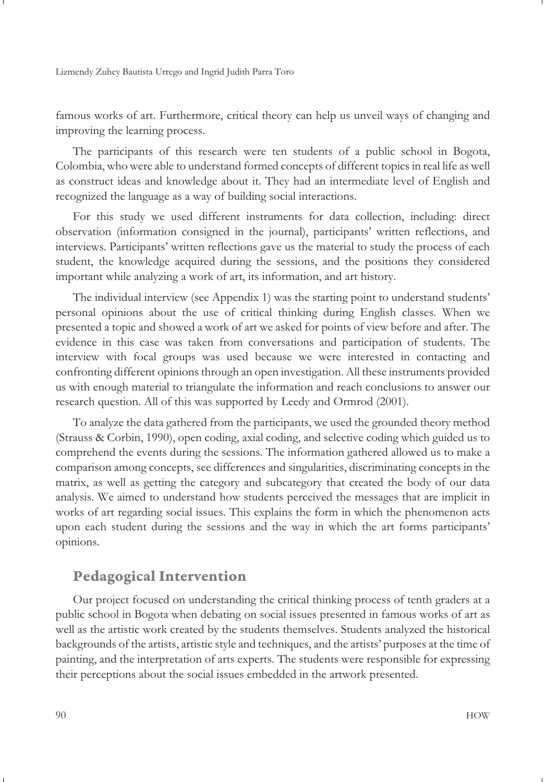famous works of art. Furthermore, critical theory can help us unveil ways of changing and improving the learning process.

The participants of this research were ten students of a public school in Bogota, Colombia, who were able to understand formed concepts of different topics in real life as well as construct ideas and knowledge about it. They had an intermediate level of English and recognized the language as a way of building social interactions.

For this study we used different instruments for data collection, including: direct observation (information consigned in the journal), participants' written reflections, and interviews. Participants' written reflections gave us the material to study the process of each student, the knowledge acquired during the sessions, and the positions they considered important while analyzing a work of art, its information, and art history.

The individual interview (see Appendix 1) was the starting point to understand students' personal opinions about the use of critical thinking during English classes. When we presented a topic and showed a work of art we asked for points of view before and after. The evidence in this case was taken from conversations and participation of students. The interview with focal groups was used because we were interested in contacting and confronting different opinions through an open investigation. All these instruments provided us with enough material to triangulate the information and reach conclusions to answer our research question. All of this was supported by Leedy and Ormrod (2001).

To analyze the data gathered from the participants, we used the grounded theory method (Strauss & Corbin, 1990), open coding, axial coding, and selective coding which guided us to comprehend the events during the sessions. The information gathered allowed us to make a comparison among concepts, see differences and singularities, discriminating concepts in the matrix, as well as getting the category and subcategory that created the body of our data analysis. We aimed to understand how students perceived the messages that are implicit in works of art regarding social issues. This explains the form in which the phenomenon acts upon each student during the sessions and the way in which the art forms participants' opinions.

## **Pedagogical Intervention**

Our project focused on understanding the critical thinking process of tenth graders at a public school in Bogota when debating on social issues presented in famous works of art as well as the artistic work created by the students themselves. Students analyzed the historical backgrounds of the artists, artistic style and techniques, and the artists' purposes at the time of painting, and the interpretation of arts experts. The students were responsible for expressing their perceptions about the social issues embedded in the artwork presented.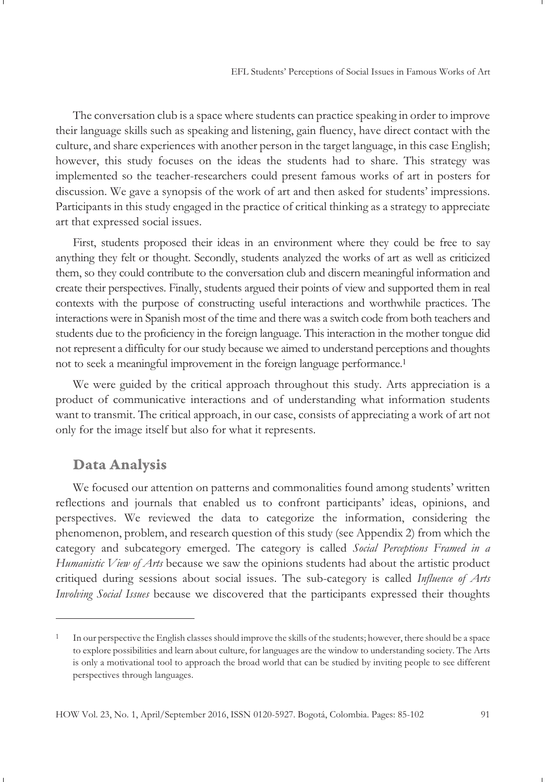The conversation club is a space where students can practice speaking in order to improve their language skills such as speaking and listening, gain fluency, have direct contact with the culture, and share experiences with another person in the target language, in this case English; however, this study focuses on the ideas the students had to share. This strategy was implemented so the teacher-researchers could present famous works of art in posters for discussion. We gave a synopsis of the work of art and then asked for students' impressions. Participants in this study engaged in the practice of critical thinking as a strategy to appreciate art that expressed social issues.

First, students proposed their ideas in an environment where they could be free to say anything they felt or thought. Secondly, students analyzed the works of art as well as criticized them, so they could contribute to the conversation club and discern meaningful information and create their perspectives. Finally, students argued their points of view and supported them in real contexts with the purpose of constructing useful interactions and worthwhile practices. The interactions were in Spanish most of the time and there was a switch code from both teachers and students due to the proficiency in the foreign language. This interaction in the mother tongue did not represent a difficulty for our study because we aimed to understand perceptions and thoughts not to seek a meaningful improvement in the foreign language performance.<sup>1</sup>

We were guided by the critical approach throughout this study. Arts appreciation is a product of communicative interactions and of understanding what information students want to transmit. The critical approach, in our case, consists of appreciating a work of art not only for the image itself but also for what it represents.

### **Data Analysis**

We focused our attention on patterns and commonalities found among students' written reflections and journals that enabled us to confront participants' ideas, opinions, and perspectives. We reviewed the data to categorize the information, considering the phenomenon, problem, and research question of this study (see Appendix 2) from which the category and subcategory emerged. The category is called *Social Perceptions Framed in a Humanistic View of Arts* because we saw the opinions students had about the artistic product critiqued during sessions about social issues. The sub-category is called *Influence of Arts Involving Social Issues* because we discovered that the participants expressed their thoughts

<sup>1</sup> In our perspective the English classes should improve the skills of the students; however, there should be a space to explore possibilities and learn about culture, for languages are the window to understanding society. The Arts is only a motivational tool to approach the broad world that can be studied by inviting people to see different perspectives through languages.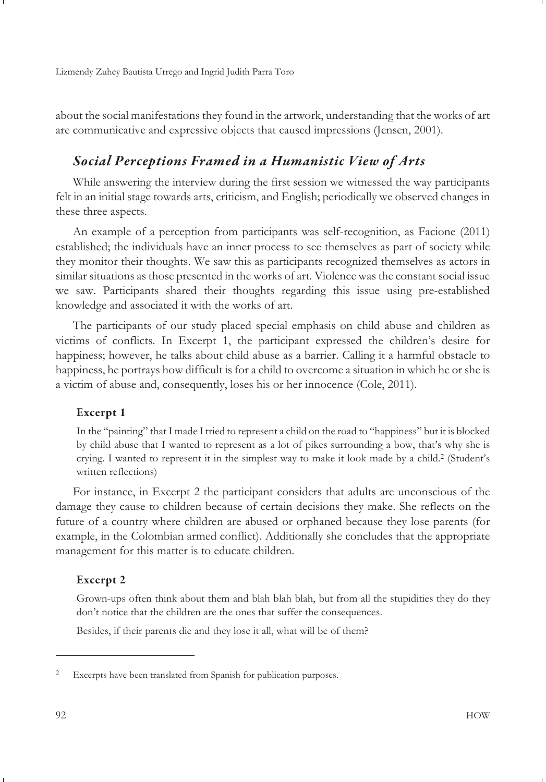about the social manifestations they found in the artwork, understanding that the works of art are communicative and expressive objects that caused impressions (Jensen, 2001).

# *Social Perceptions Framed in a Humanistic View of Arts*

While answering the interview during the first session we witnessed the way participants felt in an initial stage towards arts, criticism, and English; periodically we observed changes in these three aspects.

An example of a perception from participants was self-recognition, as Facione (2011) established; the individuals have an inner process to see themselves as part of society while they monitor their thoughts. We saw this as participants recognized themselves as actors in similar situations as those presented in the works of art. Violence was the constant social issue we saw. Participants shared their thoughts regarding this issue using pre-established knowledge and associated it with the works of art.

The participants of our study placed special emphasis on child abuse and children as victims of conflicts. In Excerpt 1, the participant expressed the children's desire for happiness; however, he talks about child abuse as a barrier. Calling it a harmful obstacle to happiness, he portrays how difficult is for a child to overcome a situation in which he or she is a victim of abuse and, consequently, loses his or her innocence (Cole, 2011).

#### **Excerpt 1**

In the "painting" that I made I tried to represent a child on the road to "happiness" but it is blocked by child abuse that I wanted to represent as a lot of pikes surrounding a bow, that's why she is crying. I wanted to represent it in the simplest way to make it look made by a child.<sup>2</sup> (Student's written reflections)

For instance, in Excerpt 2 the participant considers that adults are unconscious of the damage they cause to children because of certain decisions they make. She reflects on the future of a country where children are abused or orphaned because they lose parents (for example, in the Colombian armed conflict). Additionally she concludes that the appropriate management for this matter is to educate children.

#### **Excerpt 2**

Grown-ups often think about them and blah blah blah, but from all the stupidities they do they don't notice that the children are the ones that suffer the consequences.

Besides, if their parents die and they lose it all, what will be of them?

<sup>2</sup> Excerpts have been translated from Spanish for publication purposes.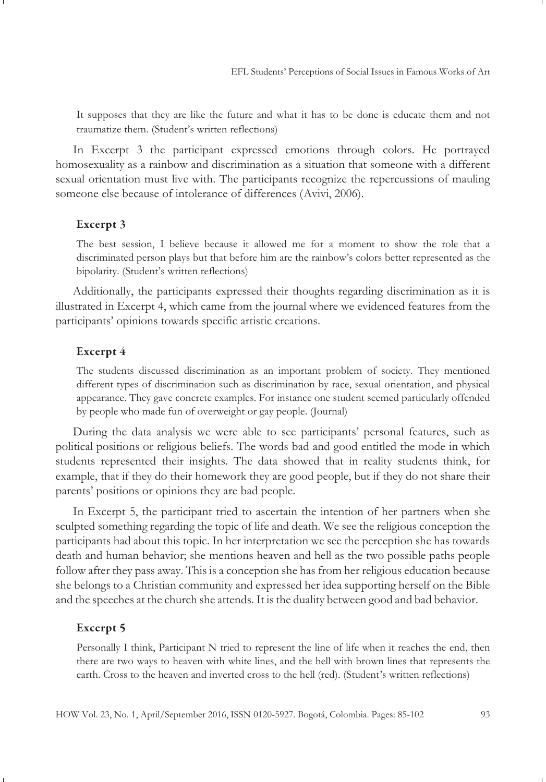It supposes that they are like the future and what it has to be done is educate them and not traumatize them. (Student's written reflections)

In Excerpt 3 the participant expressed emotions through colors. He portrayed homosexuality as a rainbow and discrimination as a situation that someone with a different sexual orientation must live with. The participants recognize the repercussions of mauling someone else because of intolerance of differences (Avivi, 2006).

#### **Excerpt 3**

The best session, I believe because it allowed me for a moment to show the role that a discriminated person plays but that before him are the rainbow's colors better represented as the bipolarity. (Student's written reflections)

Additionally, the participants expressed their thoughts regarding discrimination as it is illustrated in Excerpt 4, which came from the journal where we evidenced features from the participants' opinions towards specific artistic creations.

#### **Excerpt 4**

The students discussed discrimination as an important problem of society. They mentioned different types of discrimination such as discrimination by race, sexual orientation, and physical appearance. They gave concrete examples. For instance one student seemed particularly offended by people who made fun of overweight or gay people. (Journal)

During the data analysis we were able to see participants' personal features, such as political positions or religious beliefs. The words bad and good entitled the mode in which students represented their insights. The data showed that in reality students think, for example, that if they do their homework they are good people, but if they do not share their parents' positions or opinions they are bad people.

In Excerpt 5, the participant tried to ascertain the intention of her partners when she sculpted something regarding the topic of life and death. We see the religious conception the participants had about this topic. In her interpretation we see the perception she has towards death and human behavior; she mentions heaven and hell as the two possible paths people follow after they pass away. This is a conception she has from her religious education because she belongs to a Christian community and expressed her idea supporting herself on the Bible and the speeches at the church she attends. It is the duality between good and bad behavior.

#### **Excerpt 5**

Personally I think, Participant N tried to represent the line of life when it reaches the end, then there are two ways to heaven with white lines, and the hell with brown lines that represents the earth. Cross to the heaven and inverted cross to the hell (red). (Student's written reflections)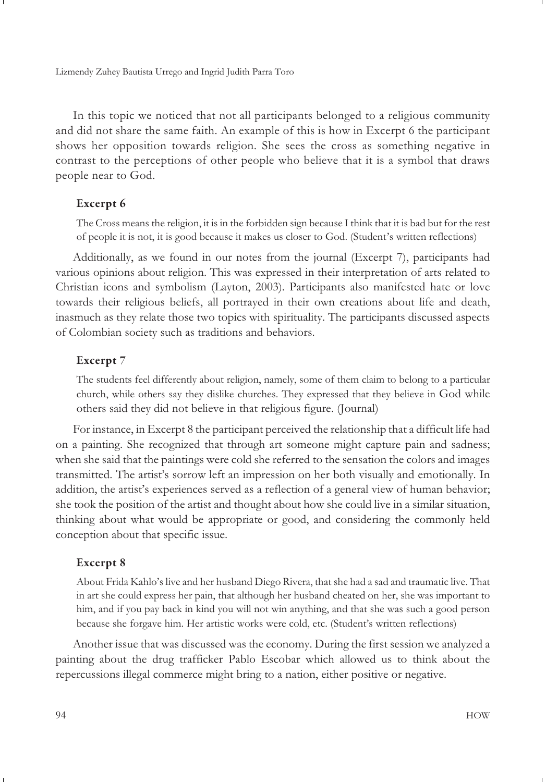In this topic we noticed that not all participants belonged to a religious community and did not share the same faith. An example of this is how in Excerpt 6 the participant shows her opposition towards religion. She sees the cross as something negative in contrast to the perceptions of other people who believe that it is a symbol that draws people near to God.

#### **Excerpt 6**

The Cross means the religion, it is in the forbidden sign because I think that it is bad but for the rest of people it is not, it is good because it makes us closer to God. (Student's written reflections)

Additionally, as we found in our notes from the journal (Excerpt 7), participants had various opinions about religion. This was expressed in their interpretation of arts related to Christian icons and symbolism (Layton, 2003). Participants also manifested hate or love towards their religious beliefs, all portrayed in their own creations about life and death, inasmuch as they relate those two topics with spirituality. The participants discussed aspects of Colombian society such as traditions and behaviors.

#### **Excerpt 7**

The students feel differently about religion, namely, some of them claim to belong to a particular church, while others say they dislike churches. They expressed that they believe in God while others said they did not believe in that religious figure. (Journal)

For instance, in Excerpt 8 the participant perceived the relationship that a difficult life had on a painting. She recognized that through art someone might capture pain and sadness; when she said that the paintings were cold she referred to the sensation the colors and images transmitted. The artist's sorrow left an impression on her both visually and emotionally. In addition, the artist's experiences served as a reflection of a general view of human behavior; she took the position of the artist and thought about how she could live in a similar situation, thinking about what would be appropriate or good, and considering the commonly held conception about that specific issue.

#### **Excerpt 8**

About Frida Kahlo's live and her husband Diego Rivera, that she had a sad and traumatic live. That in art she could express her pain, that although her husband cheated on her, she was important to him, and if you pay back in kind you will not win anything, and that she was such a good person because she forgave him. Her artistic works were cold, etc. (Student's written reflections)

Another issue that was discussed was the economy. During the first session we analyzed a painting about the drug trafficker Pablo Escobar which allowed us to think about the repercussions illegal commerce might bring to a nation, either positive or negative.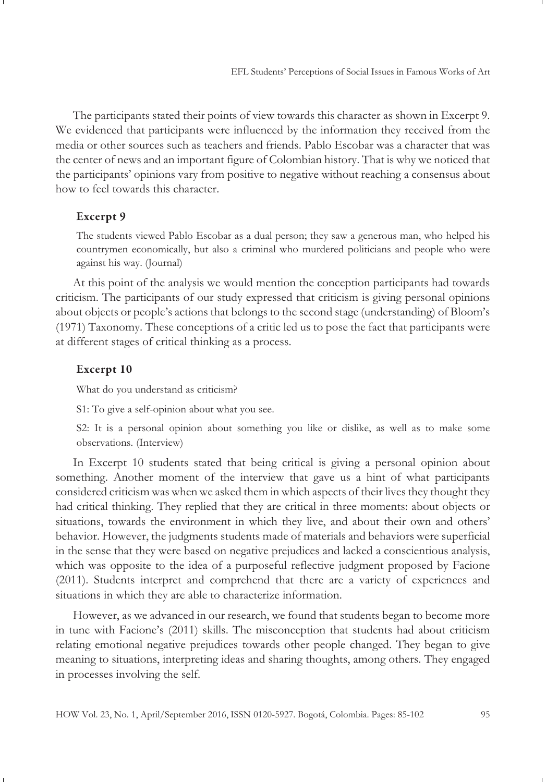The participants stated their points of view towards this character as shown in Excerpt 9. We evidenced that participants were influenced by the information they received from the media or other sources such as teachers and friends. Pablo Escobar was a character that was the center of news and an important figure of Colombian history. That is why we noticed that the participants' opinions vary from positive to negative without reaching a consensus about how to feel towards this character.

#### **Excerpt 9**

The students viewed Pablo Escobar as a dual person; they saw a generous man, who helped his countrymen economically, but also a criminal who murdered politicians and people who were against his way. (Journal)

At this point of the analysis we would mention the conception participants had towards criticism. The participants of our study expressed that criticism is giving personal opinions about objects or people's actions that belongs to the second stage (understanding) of Bloom's (1971) Taxonomy. These conceptions of a critic led us to pose the fact that participants were at different stages of critical thinking as a process.

#### **Excerpt 10**

What do you understand as criticism?

S1: To give a self-opinion about what you see.

S2: It is a personal opinion about something you like or dislike, as well as to make some observations. (Interview)

In Excerpt 10 students stated that being critical is giving a personal opinion about something. Another moment of the interview that gave us a hint of what participants considered criticism was when we asked them in which aspects of their lives they thought they had critical thinking. They replied that they are critical in three moments: about objects or situations, towards the environment in which they live, and about their own and others' behavior. However, the judgments students made of materials and behaviors were superficial in the sense that they were based on negative prejudices and lacked a conscientious analysis, which was opposite to the idea of a purposeful reflective judgment proposed by Facione (2011). Students interpret and comprehend that there are a variety of experiences and situations in which they are able to characterize information.

However, as we advanced in our research, we found that students began to become more in tune with Facione's (2011) skills. The misconception that students had about criticism relating emotional negative prejudices towards other people changed. They began to give meaning to situations, interpreting ideas and sharing thoughts, among others. They engaged in processes involving the self.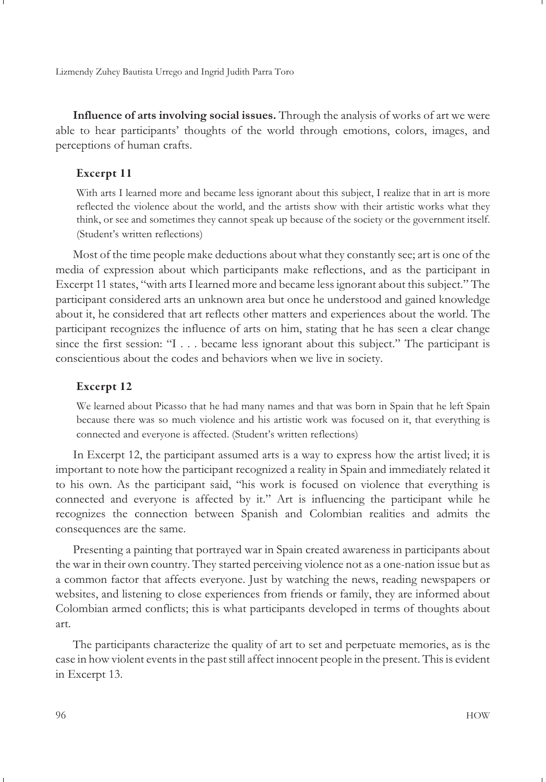**Influence of arts involving social issues.** Through the analysis of works of art we were able to hear participants' thoughts of the world through emotions, colors, images, and perceptions of human crafts.

#### **Excerpt 11**

With arts I learned more and became less ignorant about this subject, I realize that in art is more reflected the violence about the world, and the artists show with their artistic works what they think, or see and sometimes they cannot speak up because of the society or the government itself. (Student's written reflections)

Most of the time people make deductions about what they constantly see; art is one of the media of expression about which participants make reflections, and as the participant in Excerpt 11 states, "with arts I learned more and became less ignorant about this subject." The participant considered arts an unknown area but once he understood and gained knowledge about it, he considered that art reflects other matters and experiences about the world. The participant recognizes the influence of arts on him, stating that he has seen a clear change since the first session: "I . . . became less ignorant about this subject." The participant is conscientious about the codes and behaviors when we live in society.

#### **Excerpt 12**

We learned about Picasso that he had many names and that was born in Spain that he left Spain because there was so much violence and his artistic work was focused on it, that everything is connected and everyone is affected. (Student's written reflections)

In Excerpt 12, the participant assumed arts is a way to express how the artist lived; it is important to note how the participant recognized a reality in Spain and immediately related it to his own. As the participant said, "his work is focused on violence that everything is connected and everyone is affected by it." Art is influencing the participant while he recognizes the connection between Spanish and Colombian realities and admits the consequences are the same.

Presenting a painting that portrayed war in Spain created awareness in participants about the war in their own country. They started perceiving violence not as a one-nation issue but as a common factor that affects everyone. Just by watching the news, reading newspapers or websites, and listening to close experiences from friends or family, they are informed about Colombian armed conflicts; this is what participants developed in terms of thoughts about art.

The participants characterize the quality of art to set and perpetuate memories, as is the case in how violent events in the past still affect innocent people in the present. This is evident in Excerpt 13.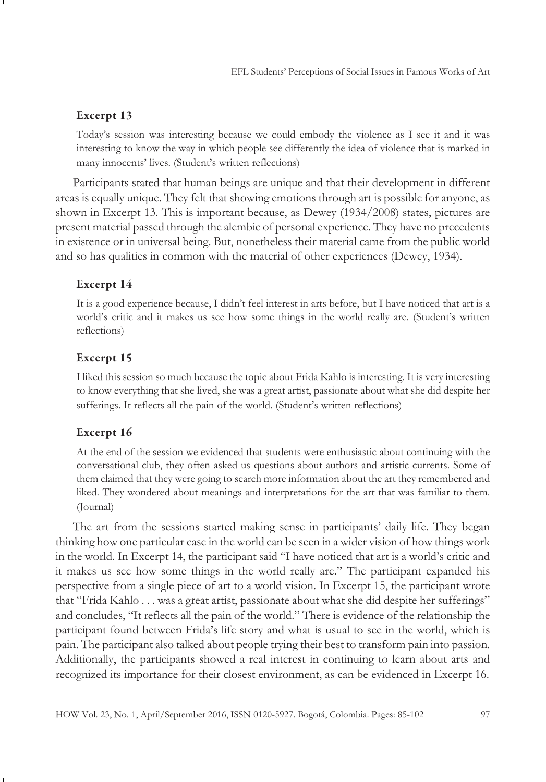#### **Excerpt 13**

Today's session was interesting because we could embody the violence as I see it and it was interesting to know the way in which people see differently the idea of violence that is marked in many innocents' lives. (Student's written reflections)

Participants stated that human beings are unique and that their development in different areas is equally unique. They felt that showing emotions through art is possible for anyone, as shown in Excerpt 13. This is important because, as Dewey (1934/2008) states, pictures are present material passed through the alembic of personal experience. They have no precedents in existence or in universal being. But, nonetheless their material came from the public world and so has qualities in common with the material of other experiences (Dewey, 1934).

#### **Excerpt 14**

It is a good experience because, I didn't feel interest in arts before, but I have noticed that art is a world's critic and it makes us see how some things in the world really are. (Student's written reflections)

#### **Excerpt 15**

I liked this session so much because the topic about Frida Kahlo is interesting. It is very interesting to know everything that she lived, she was a great artist, passionate about what she did despite her sufferings. It reflects all the pain of the world. (Student's written reflections)

#### **Excerpt 16**

At the end of the session we evidenced that students were enthusiastic about continuing with the conversational club, they often asked us questions about authors and artistic currents. Some of them claimed that they were going to search more information about the art they remembered and liked. They wondered about meanings and interpretations for the art that was familiar to them. (Journal)

The art from the sessions started making sense in participants' daily life. They began thinking how one particular case in the world can be seen in a wider vision of how things work in the world. In Excerpt 14, the participant said "I have noticed that art is a world's critic and it makes us see how some things in the world really are." The participant expanded his perspective from a single piece of art to a world vision. In Excerpt 15, the participant wrote that "Frida Kahlo . . . was a great artist, passionate about what she did despite her sufferings" and concludes, "It reflects all the pain of the world." There is evidence of the relationship the participant found between Frida's life story and what is usual to see in the world, which is pain. The participant also talked about people trying their best to transform pain into passion. Additionally, the participants showed a real interest in continuing to learn about arts and recognized its importance for their closest environment, as can be evidenced in Excerpt 16.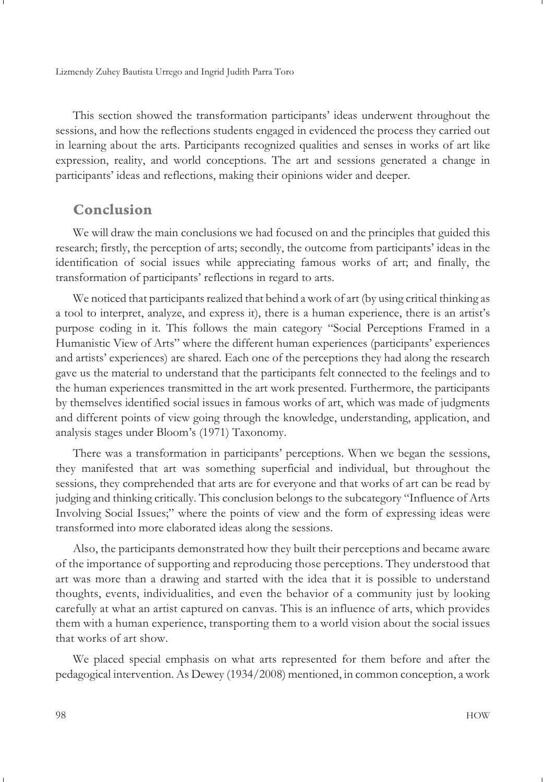This section showed the transformation participants' ideas underwent throughout the sessions, and how the reflections students engaged in evidenced the process they carried out in learning about the arts. Participants recognized qualities and senses in works of art like expression, reality, and world conceptions. The art and sessions generated a change in participants' ideas and reflections, making their opinions wider and deeper.

### **Conclusion**

We will draw the main conclusions we had focused on and the principles that guided this research; firstly, the perception of arts; secondly, the outcome from participants' ideas in the identification of social issues while appreciating famous works of art; and finally, the transformation of participants' reflections in regard to arts.

We noticed that participants realized that behind a work of art (by using critical thinking as a tool to interpret, analyze, and express it), there is a human experience, there is an artist's purpose coding in it. This follows the main category "Social Perceptions Framed in a Humanistic View of Arts" where the different human experiences (participants' experiences and artists' experiences) are shared. Each one of the perceptions they had along the research gave us the material to understand that the participants felt connected to the feelings and to the human experiences transmitted in the art work presented. Furthermore, the participants by themselves identified social issues in famous works of art, which was made of judgments and different points of view going through the knowledge, understanding, application, and analysis stages under Bloom's (1971) Taxonomy.

There was a transformation in participants' perceptions. When we began the sessions, they manifested that art was something superficial and individual, but throughout the sessions, they comprehended that arts are for everyone and that works of art can be read by judging and thinking critically. This conclusion belongs to the subcategory "Influence of Arts Involving Social Issues;" where the points of view and the form of expressing ideas were transformed into more elaborated ideas along the sessions.

Also, the participants demonstrated how they built their perceptions and became aware of the importance of supporting and reproducing those perceptions. They understood that art was more than a drawing and started with the idea that it is possible to understand thoughts, events, individualities, and even the behavior of a community just by looking carefully at what an artist captured on canvas. This is an influence of arts, which provides them with a human experience, transporting them to a world vision about the social issues that works of art show.

We placed special emphasis on what arts represented for them before and after the pedagogical intervention. As Dewey (1934/2008) mentioned, in common conception, a work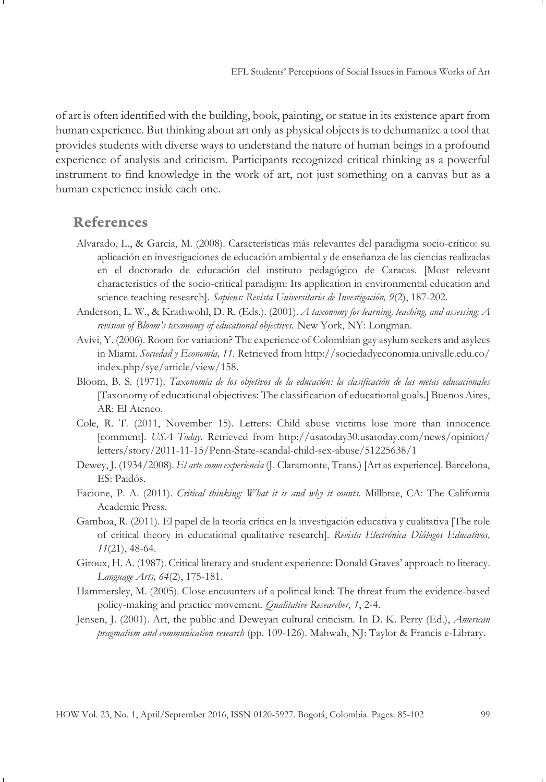of art is often identified with the building, book, painting, or statue in its existence apart from human experience. But thinking about art only as physical objects is to dehumanize a tool that provides students with diverse ways to understand the nature of human beings in a profound experience of analysis and criticism. Participants recognized critical thinking as a powerful instrument to find knowledge in the work of art, not just something on a canvas but as a human experience inside each one.

### **References**

- Alvarado, L., & García, M. (2008). Características más relevantes del paradigma socio-crítico: su aplicación en investigaciones de educación ambiental y de enseñanza de las ciencias realizadas en el doctorado de educación del instituto pedagógico de Caracas. [Most relevant characteristics of the socio-critical paradigm: Its application in environmental education and science teaching research]. *Sapiens: Revista Universitaria de Investigación, 9*(2), 187-202.
- Anderson, L. W., & Krathwohl, D. R. (Eds.). (2001). *A taxonomy for learning, teaching, and assessing: A revision of Bloom's taxonomy of educational objectives.* New York, NY: Longman.
- Avivi, Y. (2006). Room for variation? The experience of Colombian gay asylum seekers and asylees in Miami. *Sociedad y Economía, 11*. Retrieved from http://sociedadyeconomia.univalle.edu.co/ index.php/sye/article/view/158.
- Bloom, B. S. (1971). *Taxonomía de los objetivos de la educación: la clasificación de las metas educacionales* [Taxonomy of educational objectives: The classification of educational goals.] Buenos Aires, AR: El Ateneo.
- Cole, R. T. (2011, November 15). Letters: Child abuse victims lose more than innocence [comment]. *USA Today*. Retrieved from http://usatoday30.usatoday.com/news/opinion/ letters/story/2011-11-15/Penn-State-scandal-child-sex-abuse/51225638/1
- Dewey, J. (1934/2008). *El arte como experiencia* (J. Claramonte, Trans.) [Art as experience]. Barcelona, ES: Paidós.
- Facione, P. A. (2011). *Critical thinking: What it is and why it counts*. Millbrae, CA: The California Academic Press.
- Gamboa, R. (2011). El papel de la teoría crítica en la investigación educativa y cualitativa [The role of critical theory in educational qualitative research]. *Revista Electrónica Diálogos Educativos, 11*(21), 48-64.
- Giroux, H. A. (1987). Critical literacy and student experience: Donald Graves' approach to literacy. *Language Arts, 64*(2), 175-181.
- Hammersley, M. (2005). Close encounters of a political kind: The threat from the evidence-based policy-making and practice movement. *Qualitative Researcher, 1*, 2-4.
- Jensen, J. (2001). Art, the public and Deweyan cultural criticism*.* In D. K. Perry (Ed.), *American pragmatism and communication research* (pp. 109-126). Mahwah, NJ: Taylor & Francis e-Library.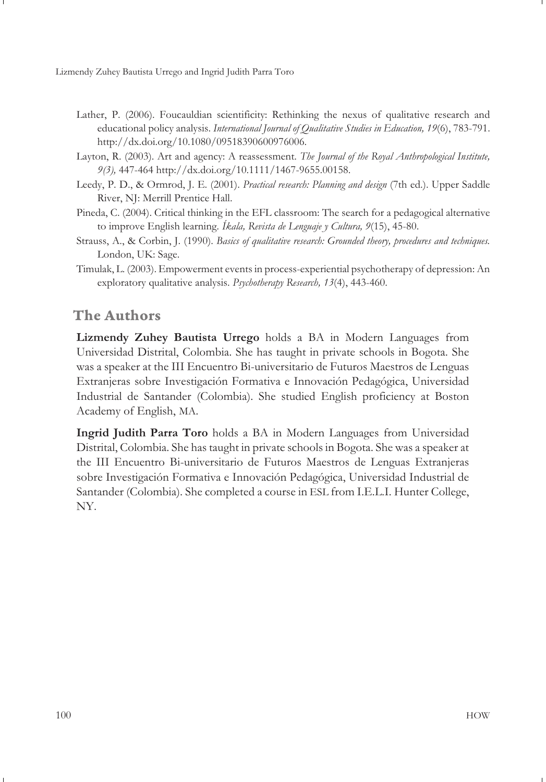- Lather, P. (2006). Foucauldian scientificity: Rethinking the nexus of qualitative research and educational policy analysis. *International Journal of Qualitative Studies in Education, 19*(6), 783-791. http://dx.doi.org/10.1080/09518390600976006.
- Layton, R. (2003). Art and agency: A reassessment. *The Journal of the Royal Anthropological Institute, 9(3),* 447-464 http://dx.doi.org/10.1111/1467-9655.00158.
- Leedy, P. D., & Ormrod, J. E. (2001). *Practical research: Planning and design* (7th ed.). Upper Saddle River, NJ: Merrill Prentice Hall.
- Pineda, C. (2004). Critical thinking in the EFL classroom: The search for a pedagogical alternative to improve English learning*. Íkala, Revista de Lenguaje y Cultura, 9*(15), 45-80.
- Strauss, A., & Corbin, J. (1990). *Basics of qualitative research: Grounded theory, procedures and techniques.* London, UK: Sage.
- Timulak, L. (2003). Empowerment events in process-experiential psychotherapy of depression: An exploratory qualitative analysis. *Psychotherapy Research, 13*(4), 443-460.

# **The Authors**

**Lizmendy Zuhey Bautista Urrego** holds a BA in Modern Languages from Universidad Distrital, Colombia. She has taught in private schools in Bogota. She was a speaker at the III Encuentro Bi-universitario de Futuros Maestros de Lenguas Extranjeras sobre Investigación Formativa e Innovación Pedagógica, Universidad Industrial de Santander (Colombia). She studied English proficiency at Boston Academy of English, MA.

**Ingrid Judith Parra Toro** holds a BA in Modern Languages from Universidad Distrital, Colombia. She has taught in private schools in Bogota. She was a speaker at the III Encuentro Bi-universitario de Futuros Maestros de Lenguas Extranjeras sobre Investigación Formativa e Innovación Pedagógica, Universidad Industrial de Santander (Colombia). She completed a course in ESL from I.E.L.I. Hunter College, NY.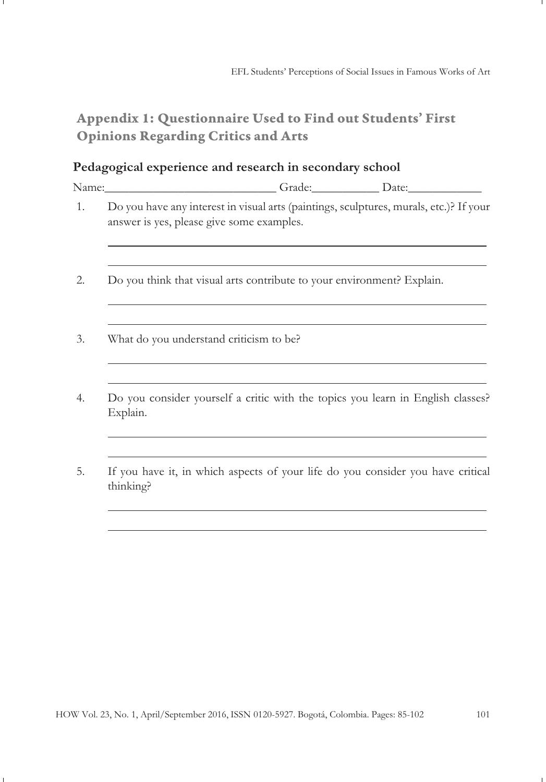# **Appendix 1: Questionnaire Used to Find out Students' First Opinions Regarding Critics and Arts**

# **Pedagogical experience and research in secondary school**

|    | Name:_______________________________Grade:_______________Date:__________________                                                    |  |  |  |  |
|----|-------------------------------------------------------------------------------------------------------------------------------------|--|--|--|--|
| 1. | Do you have any interest in visual arts (paintings, sculptures, murals, etc.)? If your<br>answer is yes, please give some examples. |  |  |  |  |
| 2. | Do you think that visual arts contribute to your environment? Explain.                                                              |  |  |  |  |
| 3. | What do you understand criticism to be?                                                                                             |  |  |  |  |
| 4. | Do you consider yourself a critic with the topics you learn in English classes?<br>Explain.                                         |  |  |  |  |
| 5. | If you have it, in which aspects of your life do you consider you have critical<br>thinking?                                        |  |  |  |  |